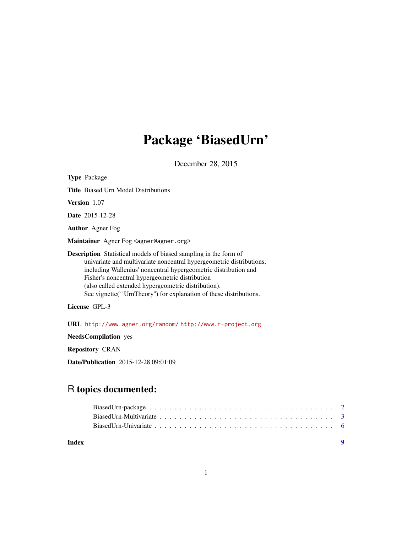# Package 'BiasedUrn'

December 28, 2015

<span id="page-0-0"></span>Type Package Title Biased Urn Model Distributions Version 1.07 Date 2015-12-28 Author Agner Fog Maintainer Agner Fog <agner@agner.org> Description Statistical models of biased sampling in the form of univariate and multivariate noncentral hypergeometric distributions, including Wallenius' noncentral hypergeometric distribution and Fisher's noncentral hypergeometric distribution (also called extended hypergeometric distribution). See vignette(``UrnTheory'') for explanation of these distributions.

License GPL-3

URL <http://www.agner.org/random/> <http://www.r-project.org>

NeedsCompilation yes

Repository CRAN

Date/Publication 2015-12-28 09:01:09

# R topics documented:

**Index** [9](#page-8-0)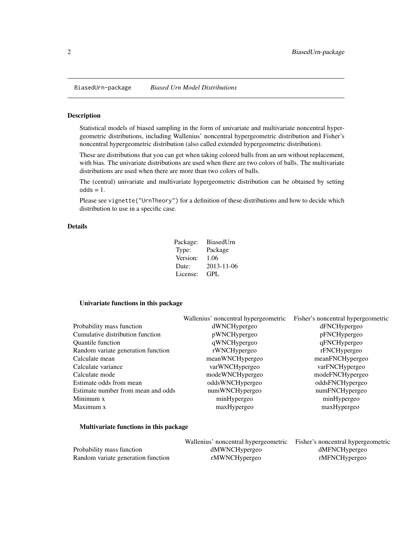<span id="page-1-0"></span>

#### <span id="page-1-1"></span>Description

Statistical models of biased sampling in the form of univariate and multivariate noncentral hypergeometric distributions, including Wallenius' noncentral hypergeometric distribution and Fisher's noncentral hypergeometric distribution (also called extended hypergeometric distribution).

These are distributions that you can get when taking colored balls from an urn without replacement, with bias. The univariate distributions are used when there are two colors of balls. The multivariate distributions are used when there are more than two colors of balls.

The (central) univariate and multivariate hypergeometric distribution can be obtained by setting  $odds = 1$ .

Please see vignette("UrnTheory") for a definition of these distributions and how to decide which distribution to use in a specific case.

# Details

| Package: | BiasedUrn  |
|----------|------------|
| Type:    | Package    |
| Version: | 1.06       |
| Date:    | 2013-11-06 |
| License: | GPL.       |

# Univariate functions in this package

|                                    | Wallenius' noncentral hypergeometric | Fisher's noncentral hypergeometric |
|------------------------------------|--------------------------------------|------------------------------------|
| Probability mass function          | dWNCHypergeo                         | dFNCHypergeo                       |
| Cumulative distribution function   | pWNCHypergeo                         | pFNCHypergeo                       |
| Quantile function                  | qWNCHypergeo                         | qFNCHypergeo                       |
| Random variate generation function | rWNCHypergeo                         | rFNCHypergeo                       |
| Calculate mean                     | meanWNCHypergeo                      | meanFNCHypergeo                    |
| Calculate variance                 | varWNCHypergeo                       | varFNCHypergeo                     |
| Calculate mode                     | modeWNCHypergeo                      | modeFNCHypergeo                    |
| Estimate odds from mean            | oddsWNCHypergeo                      | oddsFNCHypergeo                    |
| Estimate number from mean and odds | numWNCHypergeo                       | numFNCHypergeo                     |
| Minimum x                          | minHypergeo                          | minHypergeo                        |
| Maximum x                          | maxHypergeo                          | maxHypergeo                        |

## Multivariate functions in this package

|                                    | Wallenius' noncentral hypergeometric | Fisher's noncentral hypergeometric |
|------------------------------------|--------------------------------------|------------------------------------|
| Probability mass function          | dMWNCHypergeo                        | dMFNCHypergeo                      |
| Random variate generation function | rMWNCHypergeo                        | rMFNCHypergeo                      |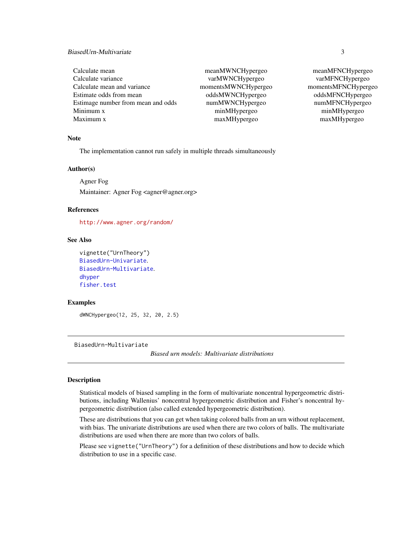# <span id="page-2-0"></span>BiasedUrn-Multivariate 3

| Calculate mean                     |
|------------------------------------|
| Calculate variance                 |
| Calculate mean and variance        |
| Estimate odds from mean            |
| Estimage number from mean and odds |
| Minimum x                          |
| Maximum x                          |

mean MWNCHypergeo mean MFNCHypergeo varMWNCHypergeo varMFNCHypergeo momentsMWNCHypergeo momentsMFNCHypergeo odds MWNCHypergeo oddsMFNCHypergeo numMWNCHypergeo numMFNCHypergeo minMHypergeo minMHypergeo maxMHypergeo maxMHypergeo

#### Note

The implementation cannot run safely in multiple threads simultaneously

#### Author(s)

Agner Fog

Maintainer: Agner Fog <agner@agner.org>

# References

<http://www.agner.org/random/>

# See Also

```
vignette("UrnTheory")
BiasedUrn-Univariate.
BiasedUrn-Multivariate.
dhyper
fisher.test
```
#### Examples

dWNCHypergeo(12, 25, 32, 20, 2.5)

<span id="page-2-1"></span>BiasedUrn-Multivariate

*Biased urn models: Multivariate distributions*

## **Description**

Statistical models of biased sampling in the form of multivariate noncentral hypergeometric distributions, including Wallenius' noncentral hypergeometric distribution and Fisher's noncentral hypergeometric distribution (also called extended hypergeometric distribution).

These are distributions that you can get when taking colored balls from an urn without replacement, with bias. The univariate distributions are used when there are two colors of balls. The multivariate distributions are used when there are more than two colors of balls.

Please see vignette("UrnTheory") for a definition of these distributions and how to decide which distribution to use in a specific case.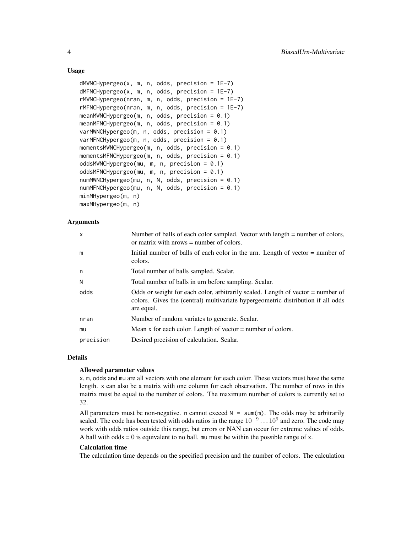# Usage

```
dMWNCHypergeo(x, m, n, odds, precision = 1E-7)
dMFNCHypergeo(x, m, n, odds, precision = 1E-7)rMWNCHypergeo(nran, m, n, odds, precision = 1E-7)
rMFNCHypergeo(nran, m, n, odds, precision = 1E-7)
meanMWNCHypergeo(m, n, odds, precision = 0.1)
meanMFNCHypergeo(m, n, odds, precision = 0.1)
varMWNCHypergeo(m, n, odds, precision = 0.1)
varMFNCHypergeo(m, n, odds, precision = 0.1)
momentsMWNCHypergeo(m, n, odds, precision = 0.1)
momentsMFNCHypergeo(m, n, odds, precision = 0.1)
oddsMWNCHypergeo(mu, m, n, precision = 0.1)
oddsMFNCHypergeo(mu, m, n, precision = 0.1)
numMWNCHypergeo(mu, n, N, odds, precision = 0.1)
numMFNCHypergeo(mu, n, N, odds, precision = 0.1)
minMHypergeo(m, n)
maxMHypergeo(m, n)
```
# Arguments

| $\mathsf{x}$ | Number of balls of each color sampled. Vector with length = number of colors,<br>or matrix with $nrows = number of colors.$                                                         |
|--------------|-------------------------------------------------------------------------------------------------------------------------------------------------------------------------------------|
| m            | Initial number of balls of each color in the urn. Length of vector $=$ number of<br>colors.                                                                                         |
| n            | Total number of balls sampled. Scalar.                                                                                                                                              |
| N            | Total number of balls in urn before sampling. Scalar.                                                                                                                               |
| odds         | Odds or weight for each color, arbitrarily scaled. Length of vector $=$ number of<br>colors. Gives the (central) multivariate hypergeometric distribution if all odds<br>are equal. |
| nran         | Number of random variates to generate. Scalar.                                                                                                                                      |
| mu           | Mean x for each color. Length of vector $=$ number of colors.                                                                                                                       |
| precision    | Desired precision of calculation. Scalar.                                                                                                                                           |

# Details

# Allowed parameter values

x, m, odds and mu are all vectors with one element for each color. These vectors must have the same length. x can also be a matrix with one column for each observation. The number of rows in this matrix must be equal to the number of colors. The maximum number of colors is currently set to 32.

All parameters must be non-negative. n cannot exceed  $N = \text{sum}(m)$ . The odds may be arbitrarily scaled. The code has been tested with odds ratios in the range  $10^{-9} \dots 10^9$  and zero. The code may work with odds ratios outside this range, but errors or NAN can occur for extreme values of odds. A ball with odds  $= 0$  is equivalent to no ball. mu must be within the possible range of x.

#### Calculation time

The calculation time depends on the specified precision and the number of colors. The calculation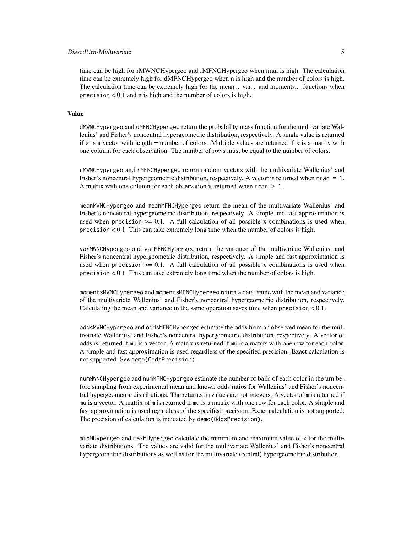# BiasedUrn-Multivariate 5

time can be high for rMWNCHypergeo and rMFNCHypergeo when nran is high. The calculation time can be extremely high for dMFNCHypergeo when n is high and the number of colors is high. The calculation time can be extremely high for the mean... var... and moments... functions when precision < 0.1 and n is high and the number of colors is high.

#### Value

dMWNCHypergeo and dMFNCHypergeo return the probability mass function for the multivariate Wallenius' and Fisher's noncentral hypergeometric distribution, respectively. A single value is returned if x is a vector with length = number of colors. Multiple values are returned if x is a matrix with one column for each observation. The number of rows must be equal to the number of colors.

rMWNCHypergeo and rMFNCHypergeo return random vectors with the multivariate Wallenius' and Fisher's noncentral hypergeometric distribution, respectively. A vector is returned when nran = 1. A matrix with one column for each observation is returned when  $n = 1$ .

meanMWNCHypergeo and meanMFNCHypergeo return the mean of the multivariate Wallenius' and Fisher's noncentral hypergeometric distribution, respectively. A simple and fast approximation is used when precision  $>= 0.1$ . A full calculation of all possible x combinations is used when precision < 0.1. This can take extremely long time when the number of colors is high.

varMWNCHypergeo and varMFNCHypergeo return the variance of the multivariate Wallenius' and Fisher's noncentral hypergeometric distribution, respectively. A simple and fast approximation is used when precision  $>= 0.1$ . A full calculation of all possible x combinations is used when precision < 0.1. This can take extremely long time when the number of colors is high.

momentsMWNCHypergeo and momentsMFNCHypergeo return a data frame with the mean and variance of the multivariate Wallenius' and Fisher's noncentral hypergeometric distribution, respectively. Calculating the mean and variance in the same operation saves time when precision  $< 0.1$ .

oddsMWNCHypergeo and oddsMFNCHypergeo estimate the odds from an observed mean for the multivariate Wallenius' and Fisher's noncentral hypergeometric distribution, respectively. A vector of odds is returned if mu is a vector. A matrix is returned if mu is a matrix with one row for each color. A simple and fast approximation is used regardless of the specified precision. Exact calculation is not supported. See demo(OddsPrecision).

numMWNCHypergeo and numMFNCHypergeo estimate the number of balls of each color in the urn before sampling from experimental mean and known odds ratios for Wallenius' and Fisher's noncentral hypergeometric distributions. The returned m values are not integers. A vector of m is returned if mu is a vector. A matrix of m is returned if mu is a matrix with one row for each color. A simple and fast approximation is used regardless of the specified precision. Exact calculation is not supported. The precision of calculation is indicated by demo(OddsPrecision).

minMHypergeo and maxMHypergeo calculate the minimum and maximum value of x for the multivariate distributions. The values are valid for the multivariate Wallenius' and Fisher's noncentral hypergeometric distributions as well as for the multivariate (central) hypergeometric distribution.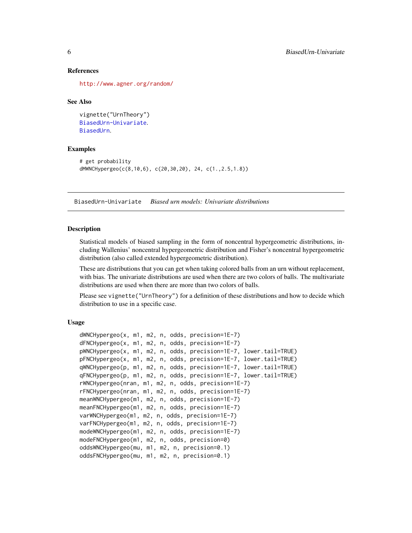#### References

<http://www.agner.org/random/>

#### See Also

```
vignette("UrnTheory")
BiasedUrn-Univariate.
BiasedUrn.
```
#### Examples

```
# get probability
dMWNCHypergeo(c(8,10,6), c(20,30,20), 24, c(1.,2.5,1.8))
```
<span id="page-5-1"></span>BiasedUrn-Univariate *Biased urn models: Univariate distributions*

## **Description**

Statistical models of biased sampling in the form of noncentral hypergeometric distributions, including Wallenius' noncentral hypergeometric distribution and Fisher's noncentral hypergeometric distribution (also called extended hypergeometric distribution).

These are distributions that you can get when taking colored balls from an urn without replacement, with bias. The univariate distributions are used when there are two colors of balls. The multivariate distributions are used when there are more than two colors of balls.

Please see vignette("UrnTheory") for a definition of these distributions and how to decide which distribution to use in a specific case.

# Usage

```
dWNCHypergeo(x, m1, m2, n, odds, precision=1E-7)
dFNCHypergeo(x, m1, m2, n, odds, precision=1E-7)
pWNCHypergeo(x, m1, m2, n, odds, precision=1E-7, lower.tail=TRUE)
pFNCHypergeo(x, m1, m2, n, odds, precision=1E-7, lower.tail=TRUE)
qWNCHypergeo(p, m1, m2, n, odds, precision=1E-7, lower.tail=TRUE)
qFNCHypergeo(p, m1, m2, n, odds, precision=1E-7, lower.tail=TRUE)
rWNCHypergeo(nran, m1, m2, n, odds, precision=1E-7)
rFNCHypergeo(nran, m1, m2, n, odds, precision=1E-7)
meanWNCHypergeo(m1, m2, n, odds, precision=1E-7)
meanFNCHypergeo(m1, m2, n, odds, precision=1E-7)
varWNCHypergeo(m1, m2, n, odds, precision=1E-7)
varFNCHypergeo(m1, m2, n, odds, precision=1E-7)
modeWNCHypergeo(m1, m2, n, odds, precision=1E-7)
modeFNCHypergeo(m1, m2, n, odds, precision=0)
oddsWNCHypergeo(mu, m1, m2, n, precision=0.1)
oddsFNCHypergeo(mu, m1, m2, n, precision=0.1)
```
<span id="page-5-0"></span>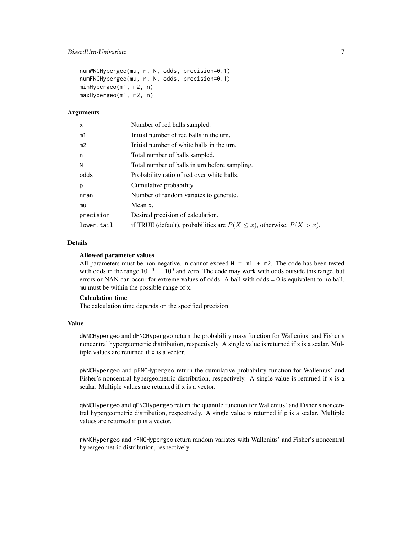```
numWNCHypergeo(mu, n, N, odds, precision=0.1)
numFNCHypergeo(mu, n, N, odds, precision=0.1)
minHypergeo(m1, m2, n)
maxHypergeo(m1, m2, n)
```
## **Arguments**

| x              | Number of red balls sampled.                                                |
|----------------|-----------------------------------------------------------------------------|
| m1             | Initial number of red balls in the urn.                                     |
| m <sub>2</sub> | Initial number of white balls in the urn.                                   |
| n              | Total number of balls sampled.                                              |
| N              | Total number of balls in urn before sampling.                               |
| odds           | Probability ratio of red over white balls.                                  |
| р              | Cumulative probability.                                                     |
| nran           | Number of random variates to generate.                                      |
| mu             | Mean x.                                                                     |
| precision      | Desired precision of calculation.                                           |
| lower.tail     | if TRUE (default), probabilities are $P(X \le x)$ , otherwise, $P(X > x)$ . |

#### Details

#### Allowed parameter values

All parameters must be non-negative. n cannot exceed  $N = m1 + m2$ . The code has been tested with odds in the range  $10^{-9} \dots 10^9$  and zero. The code may work with odds outside this range, but errors or NAN can occur for extreme values of odds. A ball with odds = 0 is equivalent to no ball. mu must be within the possible range of x.

# Calculation time

The calculation time depends on the specified precision.

#### Value

dWNCHypergeo and dFNCHypergeo return the probability mass function for Wallenius' and Fisher's noncentral hypergeometric distribution, respectively. A single value is returned if x is a scalar. Multiple values are returned if x is a vector.

pWNCHypergeo and pFNCHypergeo return the cumulative probability function for Wallenius' and Fisher's noncentral hypergeometric distribution, respectively. A single value is returned if x is a scalar. Multiple values are returned if x is a vector.

qWNCHypergeo and qFNCHypergeo return the quantile function for Wallenius' and Fisher's noncentral hypergeometric distribution, respectively. A single value is returned if p is a scalar. Multiple values are returned if p is a vector.

rWNCHypergeo and rFNCHypergeo return random variates with Wallenius' and Fisher's noncentral hypergeometric distribution, respectively.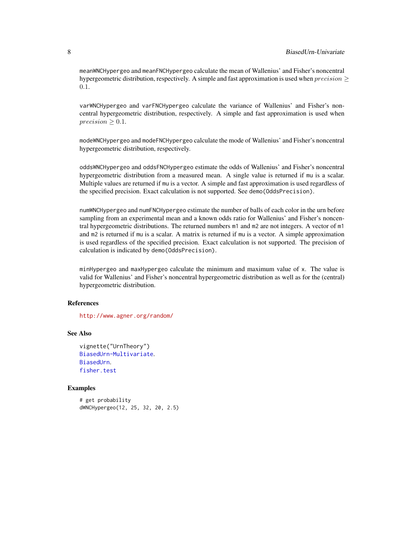meanWNCHypergeo and meanFNCHypergeo calculate the mean of Wallenius' and Fisher's noncentral hypergeometric distribution, respectively. A simple and fast approximation is used when  $precision$  > 0.1.

varWNCHypergeo and varFNCHypergeo calculate the variance of Wallenius' and Fisher's noncentral hypergeometric distribution, respectively. A simple and fast approximation is used when  $precision \geq 0.1$ .

modeWNCHypergeo and modeFNCHypergeo calculate the mode of Wallenius' and Fisher's noncentral hypergeometric distribution, respectively.

oddsWNCHypergeo and oddsFNCHypergeo estimate the odds of Wallenius' and Fisher's noncentral hypergeometric distribution from a measured mean. A single value is returned if mu is a scalar. Multiple values are returned if mu is a vector. A simple and fast approximation is used regardless of the specified precision. Exact calculation is not supported. See demo(OddsPrecision).

numWNCHypergeo and numFNCHypergeo estimate the number of balls of each color in the urn before sampling from an experimental mean and a known odds ratio for Wallenius' and Fisher's noncentral hypergeometric distributions. The returned numbers m1 and m2 are not integers. A vector of m1 and m2 is returned if mu is a scalar. A matrix is returned if mu is a vector. A simple approximation is used regardless of the specified precision. Exact calculation is not supported. The precision of calculation is indicated by demo(OddsPrecision).

minHypergeo and maxHypergeo calculate the minimum and maximum value of x. The value is valid for Wallenius' and Fisher's noncentral hypergeometric distribution as well as for the (central) hypergeometric distribution.

# References

<http://www.agner.org/random/>

# See Also

```
vignette("UrnTheory")
BiasedUrn-Multivariate.
BiasedUrn.
fisher.test
```
# Examples

```
# get probability
dWNCHypergeo(12, 25, 32, 20, 2.5)
```
<span id="page-7-0"></span>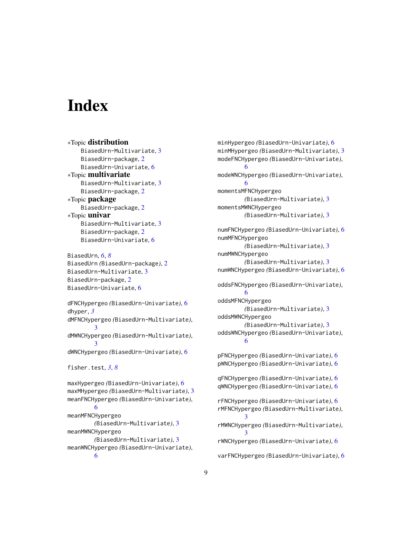# <span id="page-8-0"></span>**Index**

∗Topic distribution BiasedUrn-Multivariate, [3](#page-2-0) BiasedUrn-package, [2](#page-1-0) BiasedUrn-Univariate, [6](#page-5-0) ∗Topic multivariate BiasedUrn-Multivariate, [3](#page-2-0) BiasedUrn-package, [2](#page-1-0) ∗Topic package BiasedUrn-package, [2](#page-1-0) ∗Topic univar BiasedUrn-Multivariate, [3](#page-2-0) BiasedUrn-package, [2](#page-1-0) BiasedUrn-Univariate, [6](#page-5-0)

BiasedUrn, *[6](#page-5-0)*, *[8](#page-7-0)* BiasedUrn *(*BiasedUrn-package*)*, [2](#page-1-0) BiasedUrn-Multivariate, [3](#page-2-0) BiasedUrn-package, [2](#page-1-0) BiasedUrn-Univariate, [6](#page-5-0)

dFNCHypergeo *(*BiasedUrn-Univariate*)*, [6](#page-5-0) dhyper, *[3](#page-2-0)* dMFNCHypergeo *(*BiasedUrn-Multivariate*)*, [3](#page-2-0) dMWNCHypergeo *(*BiasedUrn-Multivariate*)*, [3](#page-2-0) dWNCHypergeo *(*BiasedUrn-Univariate*)*, [6](#page-5-0) fisher.test, *[3](#page-2-0)*, *[8](#page-7-0)* maxHypergeo *(*BiasedUrn-Univariate*)*, [6](#page-5-0) maxMHypergeo *(*BiasedUrn-Multivariate*)*, [3](#page-2-0) meanFNCHypergeo *(*BiasedUrn-Univariate*)*, [6](#page-5-0) meanMFNCHypergeo *(*BiasedUrn-Multivariate*)*, [3](#page-2-0) meanMWNCHypergeo *(*BiasedUrn-Multivariate*)*, [3](#page-2-0) meanWNCHypergeo *(*BiasedUrn-Univariate*)*, [6](#page-5-0)

minHypergeo *(*BiasedUrn-Univariate*)*, [6](#page-5-0) minMHypergeo *(*BiasedUrn-Multivariate*)*, [3](#page-2-0) modeFNCHypergeo *(*BiasedUrn-Univariate*)*, [6](#page-5-0) modeWNCHypergeo *(*BiasedUrn-Univariate*)*, [6](#page-5-0) momentsMFNCHypergeo *(*BiasedUrn-Multivariate*)*, [3](#page-2-0) momentsMWNCHypergeo *(*BiasedUrn-Multivariate*)*, [3](#page-2-0) numFNCHypergeo *(*BiasedUrn-Univariate*)*, [6](#page-5-0) numMFNCHypergeo *(*BiasedUrn-Multivariate*)*, [3](#page-2-0) numMWNCHypergeo *(*BiasedUrn-Multivariate*)*, [3](#page-2-0) numWNCHypergeo *(*BiasedUrn-Univariate*)*, [6](#page-5-0) oddsFNCHypergeo *(*BiasedUrn-Univariate*)*, [6](#page-5-0) oddsMFNCHypergeo *(*BiasedUrn-Multivariate*)*, [3](#page-2-0) oddsMWNCHypergeo *(*BiasedUrn-Multivariate*)*, [3](#page-2-0) oddsWNCHypergeo *(*BiasedUrn-Univariate*)*, [6](#page-5-0) pFNCHypergeo *(*BiasedUrn-Univariate*)*, [6](#page-5-0) pWNCHypergeo *(*BiasedUrn-Univariate*)*, [6](#page-5-0) qFNCHypergeo *(*BiasedUrn-Univariate*)*, [6](#page-5-0) qWNCHypergeo *(*BiasedUrn-Univariate*)*, [6](#page-5-0) rFNCHypergeo *(*BiasedUrn-Univariate*)*, [6](#page-5-0) rMFNCHypergeo *(*BiasedUrn-Multivariate*)*, [3](#page-2-0) rMWNCHypergeo *(*BiasedUrn-Multivariate*)*, [3](#page-2-0) rWNCHypergeo *(*BiasedUrn-Univariate*)*, [6](#page-5-0)

varFNCHypergeo *(*BiasedUrn-Univariate*)*, [6](#page-5-0)